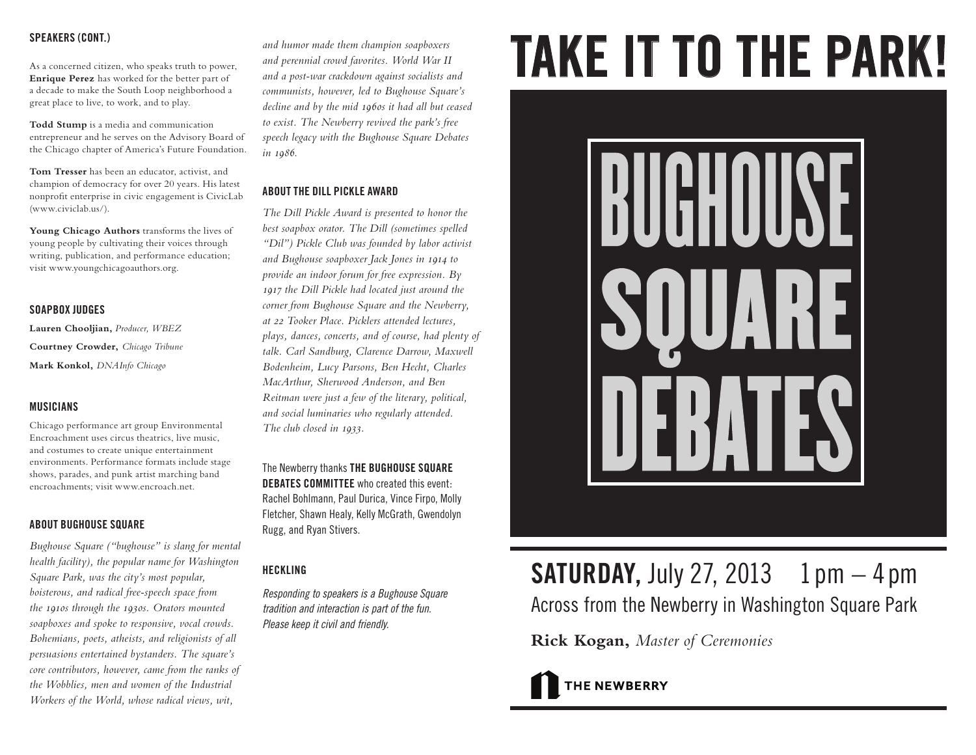# **SPEAKERS (CONT.)**

As a concerned citizen, who speaks truth to power, a decade to make the South Loop neighborhood a great place to live, to work, and to play.

**Todd Stump** is a media and communication entrepreneur and he serves on the Advisory Board of the Chicago chapter of America's Future Foundation.

**Tom Tresser** has been an educator, activist, and champion of democracy for over 20 years. His latest nonprofit enterprise in civic engagement is CivicLab (www.civiclab.us/).

**Young Chicago Authors** transforms the lives of young people by cultivating their voices through writing, publication, and performance education; visit www.youngchicagoauthors.org.

# **SOAPBOX JUDGES**

**Lauren Chooljian,** *Producer, WBEZ*  **Courtney Crowder,** *Chicago Tribune* **Mark Konkol,** *DNAInfo Chicago*

# **MUSICIANS**

Chicago performance art group Environmental Encroachment uses circus theatrics, live music, and costumes to create unique entertainment environments. Performance formats include stage shows, parades, and punk artist marching band encroachments; visit www.encroach.net.

# **ABOUT BUGHOUSE SQUARE**

*Bughouse Square ("bughouse" is slang for mental health facility), the popular name for Washington Square Park, was the city's most popular, boisterous, and radical free-speech space from the 1910s through the 1930s. Orators mounted soapboxes and spoke to responsive, vocal crowds. Bohemians, poets, atheists, and religionists of all persuasions entertained bystanders. The square's core contributors, however, came from the ranks of the Wobblies, men and women of the Industrial Workers of the World, whose radical views, wit,* 

*and humor made them champion soapboxers and perennial crowd favorites. World War II and a post-war crackdown against socialists and communists, however, led to Bughouse Square's decline and by the mid 1960s it had all but ceased to exist. The Newberry revived the park's free speech legacy with the Bughouse Square Debates in 1986.* 

# **ABOUT THE DILL PICKLE AWARD**

*The Dill Pickle Award is presented to honor the best soapbox orator. The Dill (sometimes spelled "Dil") Pickle Club was founded by labor activist and Bughouse soapboxer Jack Jones in 1914 to provide an indoor forum for free expression. By 1917 the Dill Pickle had located just around the corner from Bughouse Square and the Newberry, at 22 Tooker Place. Picklers attended lectures, plays, dances, concerts, and of course, had plenty of talk. Carl Sandburg, Clarence Darrow, Maxwell Bodenheim, Lucy Parsons, Ben Hecht, Charles MacArthur, Sherwood Anderson, and Ben Reitman were just a few of the literary, political, and social luminaries who regularly attended. The club closed in 1933.*

The Newberry thanks **THE BUGHOUSE SQUARE DEBATES COMMITTEE** who created this event: Rachel Bohlmann, Paul Durica, Vince Firpo, Molly Fletcher, Shawn Healy, Kelly McGrath, Gwendolyn Rugg, and Ryan Stivers.

# **HECKLING**

*Responding to speakers is a Bughouse Square tradition and interaction is part of the fun. Please keep it civil and friendly.*

# SPEAKERS (GUNI.)<br>As a concerned citizen, who speaks truth to power, and perennial crowd favorites. World War II<br>Enrique Perez has worked for the better part of and a post-war crackdown against socialists and



# **SATURDAY, July 27, 2013** 1 pm  $-4$  pm Across from the Newberry in Washington Square Park

**Rick Kogan,** *Master of Ceremonies*

THE NEWBERRY